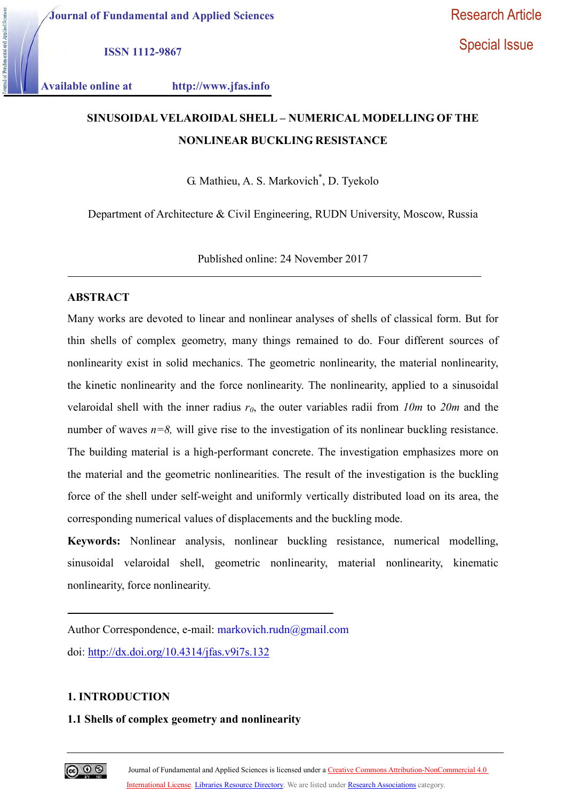Special Issue

ISSN 1112-9867

Available online at http://www.jfas.info

# SINUSOIDAL VELAROIDAL SHELL – NUMERICAL MODELLING OF THE NONLINEAR BUCKLING RESISTANCE

G. Mathieu, A. S. Markovich\* , D. Tyekolo

Department of Architecture & Civil Engineering, RUDN University, Moscow, Russia

Published online: 24 November 2017

# ABSTRACT

Many works are devoted to linear and nonlinear analyses of shells of classical form. But for thin shells of complex geometry, many things remained to do. Four different sources of nonlinearity exist in solid mechanics. The geometric nonlinearity, the material nonlinearity, the kinetic nonlinearity and the force nonlinearity. The nonlinearity, applied to a sinusoidal velaroidal shell with the inner radius  $r_0$ , the outer variables radii from 10m to 20m and the number of waves  $n=8$ , will give rise to the investigation of its nonlinear buckling resistance. The building material is a high-performant concrete. The investigation emphasizes more on the material and the geometric nonlinearities. The result of the investigation is the buckling force of the shell under self-weight and uniformly vertically distributed load on its area, the corresponding numerical values of displacements and the buckling mode.

Keywords: Nonlinear analysis, nonlinear buckling resistance, numerical modelling, sinusoidal velaroidal shell, geometric nonlinearity, material nonlinearity, kinematic nonlinearity, force nonlinearity.

Author Correspondence, e-mail: markovich.rudn@gmail.com doi: http://dx.doi.org/10.4314/jfas.v9i7s.132

#### 1. INTRODUCTION

## 1.1 Shells of complex geometry and nonlinearity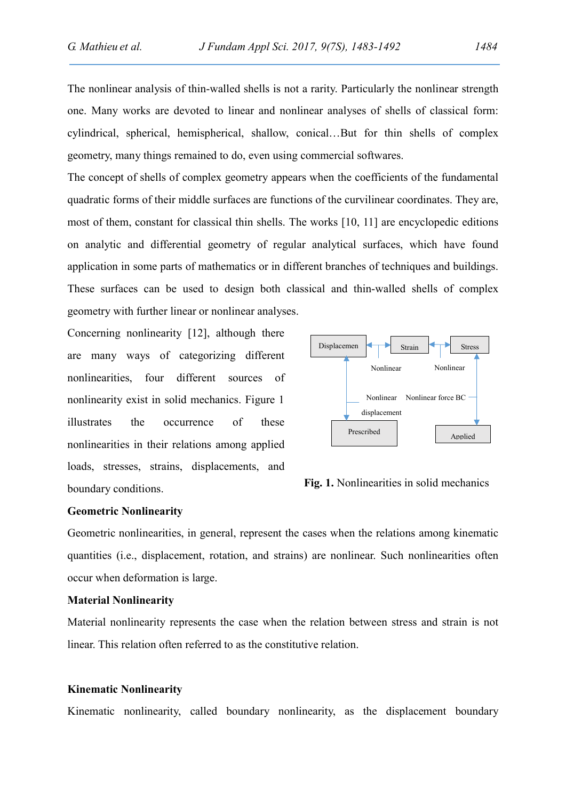The nonlinear analysis of thin-walled shells is not a rarity. Particularly the nonlinear strength one. Many works are devoted to linear and nonlinear analyses of shells of classical form: cylindrical, spherical, hemispherical, shallow, conical…But for thin shells of complex geometry, many things remained to do, even using commercial softwares.

The concept of shells of complex geometry appears when the coefficients of the fundamental quadratic forms of their middle surfaces are functions of the curvilinear coordinates. They are, most of them, constant for classical thin shells. The works [10, 11] are encyclopedic editions on analytic and differential geometry of regular analytical surfaces, which have found application in some parts of mathematics or in different branches of techniques and buildings. These surfaces can be used to design both classical and thin-walled shells of complex geometry with further linear or nonlinear analyses.

Concerning nonlinearity [12], although there are many ways of categorizing different nonlinearities, four different sources of nonlinearity exist in solid mechanics. Figure 1 illustrates the occurrence of these nonlinearities in their relations among applied loads, stresses, strains, displacements, and boundary conditions. Fig. 1. Nonlinearities in solid mechanics



#### Geometric Nonlinearity

Geometric nonlinearities, in general, represent the cases when the relations among kinematic quantities (i.e., displacement, rotation, and strains) are nonlinear. Such nonlinearities often occur when deformation is large.

#### Material Nonlinearity

Material nonlinearity represents the case when the relation between stress and strain is not linear. This relation often referred to as the constitutive relation.

#### Kinematic Nonlinearity

Kinematic nonlinearity, called boundary nonlinearity, as the displacement boundary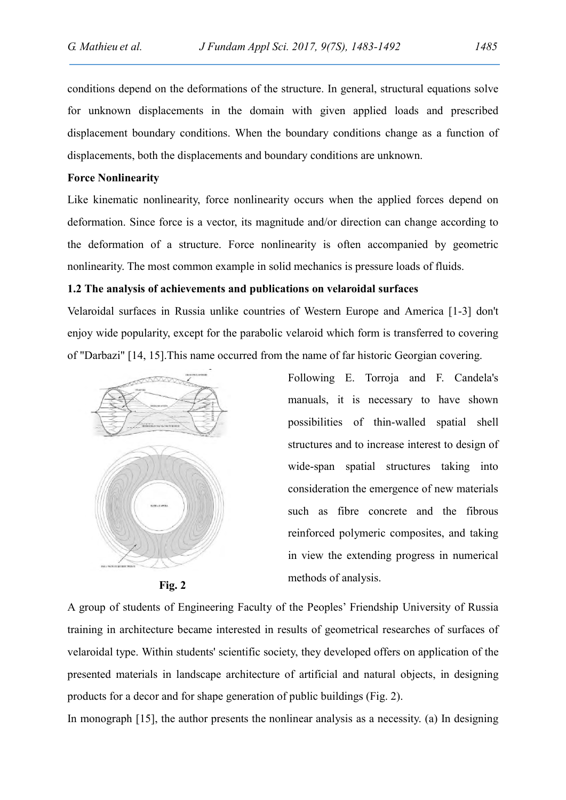conditions depend on the deformations of the structure. In general, structural equations solve for unknown displacements in the domain with given applied loads and prescribed displacement boundary conditions. When the boundary conditions change as a function of displacements, both the displacements and boundary conditions are unknown.

#### Force Nonlinearity

Like kinematic nonlinearity, force nonlinearity occurs when the applied forces depend on deformation. Since force is a vector, its magnitude and/or direction can change according to the deformation of a structure. Force nonlinearity is often accompanied by geometric nonlinearity. The most common example in solid mechanics is pressure loads of fluids.

### 1.2 The analysis of achievements and publications on velaroidal surfaces

Velaroidal surfaces in Russia unlike countries of Western Europe and America [1-3] don't enjoy wide popularity, except for the parabolic velaroid which form is transferred to covering of "Darbazi" [14, 15].This name occurred from the name of far historic Georgian covering.



Fig. 2

Following E. Torroja and F. Candela's manuals, it is necessary to have shown possibilities of thin-walled spatial shell structures and to increase interest to design of wide-span spatial structures taking into consideration the emergence of new materials such as fibre concrete and the fibrous reinforced polymeric composites, and taking in view the extending progress in numerical methods of analysis.

A group of students of Engineering Faculty of the Peoples' Friendship University of Russia training in architecture became interested in results of geometrical researches of surfaces of velaroidal type. Within students' scientific society, they developed offers on application of the presented materials in landscape architecture of artificial and natural objects, in designing products for a decor and for shape generation of public buildings (Fig. 2).

In monograph [15], the author presents the nonlinear analysis as a necessity. (a) In designing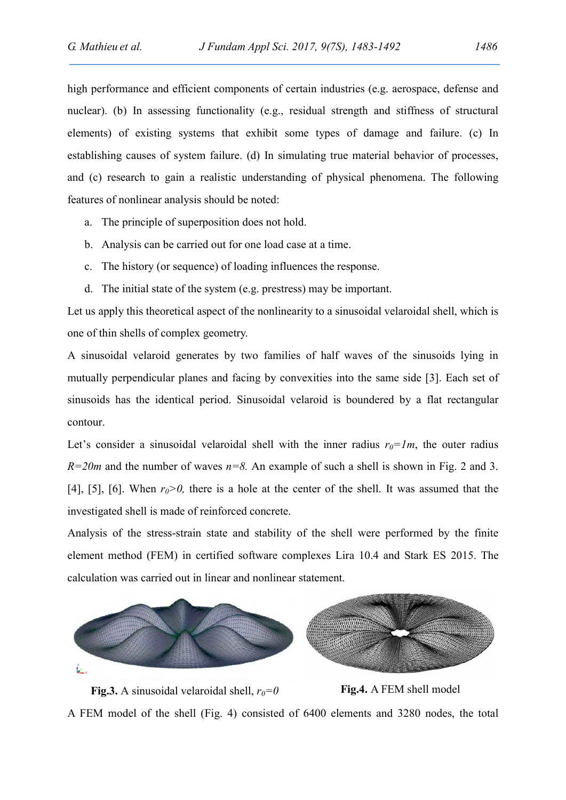high performance and efficient components of certain industries (e.g. aerospace, defense and nuclear). (b) In assessing functionality (e.g., residual strength and stiffness of structural elements) of existing systems that exhibit some types of damage and failure. (c) In establishing causes of system failure. (d) In simulating true material behavior of processes, and (c) research to gain a realistic understanding of physical phenomena. The following features of nonlinear analysis should be noted:

- a. The principle of superposition does not hold.
- b. Analysis can be carried out for one load case at a time.
- c. The history (or sequence) of loading influences the response.
- d. The initial state of the system (e.g. prestress) may be important.

Let us apply this theoretical aspect of the nonlinearity to a sinusoidal velaroidal shell, which is one of thin shells of complex geometry.

A sinusoidal velaroid generates by two families of half waves of the sinusoids lying in mutually perpendicular planes and facing by convexities into the same side [3]. Each set of sinusoids has the identical period. Sinusoidal velaroid is boundered by a flat rectangular contour.

Let's consider a sinusoidal velaroidal shell with the inner radius  $r_0=1m$ , the outer radius  $R=20m$  and the number of waves  $n=8$ . An example of such a shell is shown in Fig. 2 and 3. [4], [5], [6]. When  $r_0>0$ , there is a hole at the center of the shell. It was assumed that the investigated shell is made of reinforced concrete.

Analysis of the stress-strain state and stability of the shell were performed by the finite element method (FEM) in certified software complexes Lira 10.4 and Stark ES 2015. The calculation was carried out in linear and nonlinear statement.



Fig.3. A sinusoidal velaroidal shell,  $r_0=0$  Fig.4. A FEM shell model A FEM model of the shell (Fig. 4) consisted of 6400 elements and 3280 nodes, the total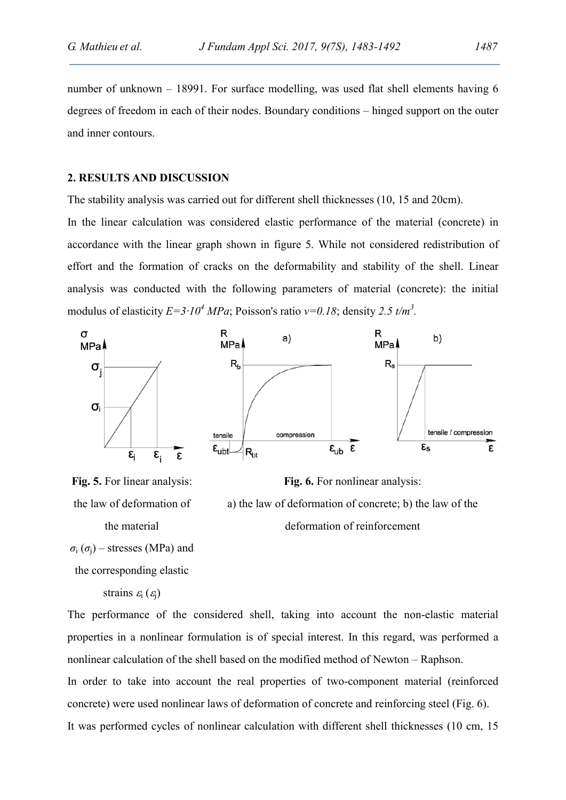number of unknown – 18991. For surface modelling, was used flat shell elements having 6 degrees of freedom in each of their nodes. Boundary conditions – hinged support on the outer and inner contours.

#### 2. RESULTS AND DISCUSSION

The stability analysis was carried out for different shell thicknesses (10, 15 and 20cm).

In the linear calculation was considered elastic performance of the material (concrete) in accordance with the linear graph shown in figure 5. While not considered redistribution of effort and the formation of cracks on the deformability and stability of the shell. Linear analysis was conducted with the following parameters of material (concrete): the initial modulus of elasticity  $E=3.10^4$  MPa; Poisson's ratio  $v=0.18$ ; density 2.5 t/m<sup>3</sup>.



Fig. 6. For nonlinear analysis:

a) the law of deformation of concrete; b) the law of the

deformation of reinforcement





```
the corresponding elastic
```
strains  $\varepsilon_i$  ( $\varepsilon_i$ )

The performance of the considered shell, taking into account the non-elastic material properties in a nonlinear formulation is of special interest. In this regard, was performed a nonlinear calculation of the shell based on the modified method of Newton – Raphson.

In order to take into account the real properties of two-component material (reinforced concrete) were used nonlinear laws of deformation of concrete and reinforcing steel (Fig. 6). It was performed cycles of nonlinear calculation with different shell thicknesses (10 cm, 15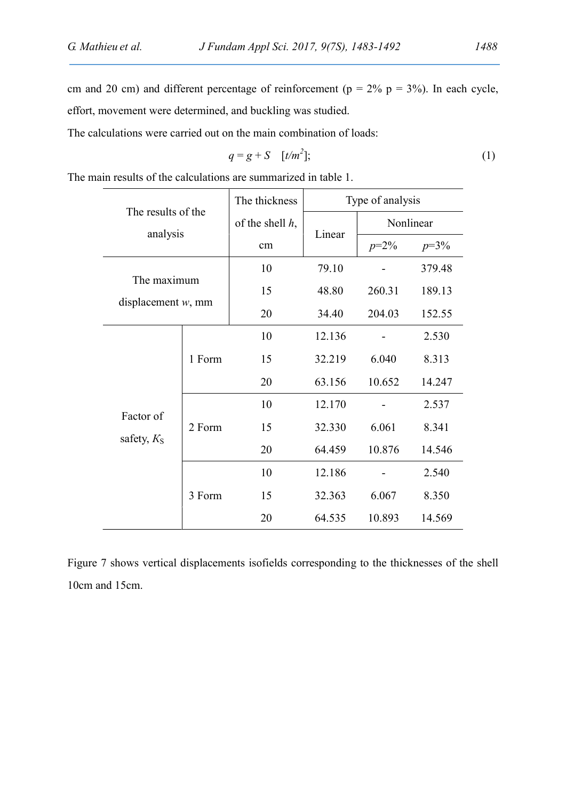cm and 20 cm) and different percentage of reinforcement ( $p = 2\%$   $p = 3\%$ ). In each cycle, effort, movement were determined, and buckling was studied.

The calculations were carried out on the main combination of loads:

$$
q = g + S \quad [t/m^2];\tag{1}
$$

The main results of the calculations are summarized in table 1.

| The results of the<br>analysis       |        | The thickness      | Type of analysis |           |        |
|--------------------------------------|--------|--------------------|------------------|-----------|--------|
|                                      |        | of the shell $h$ , | Linear           | Nonlinear |        |
|                                      |        | cm                 |                  | $p=2\%$   | $p=3%$ |
| The maximum<br>displacement $w$ , mm |        | 10                 | 79.10            |           | 379.48 |
|                                      |        | 15                 | 48.80            | 260.31    | 189.13 |
|                                      |        | 20                 | 34.40            | 204.03    | 152.55 |
| Factor of<br>safety, $KS$            | 1 Form | 10                 | 12.136           |           | 2.530  |
|                                      |        | 15                 | 32.219           | 6.040     | 8.313  |
|                                      |        | 20                 | 63.156           | 10.652    | 14.247 |
|                                      | 2 Form | 10                 | 12.170           |           | 2.537  |
|                                      |        | 15                 | 32.330           | 6.061     | 8.341  |
|                                      |        | 20                 | 64.459           | 10.876    | 14.546 |
|                                      | 3 Form | 10                 | 12.186           |           | 2.540  |
|                                      |        | 15                 | 32.363           | 6.067     | 8.350  |
|                                      |        | 20                 | 64.535           | 10.893    | 14.569 |

Figure 7 shows vertical displacements isofields corresponding to the thicknesses of the shell 10cm and 15cm.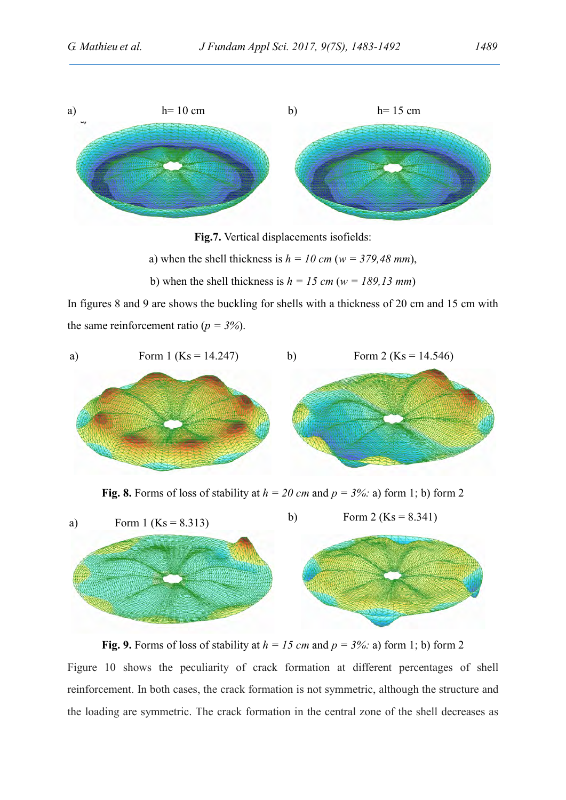

Fig.7. Vertical displacements isofields:

a) when the shell thickness is  $h = 10$  cm (w = 379,48 mm),

b) when the shell thickness is  $h = 15$  cm (w = 189,13 mm)

In figures 8 and 9 are shows the buckling for shells with a thickness of 20 cm and 15 cm with the same reinforcement ratio ( $p = 3\%$ ).



Fig. 8. Forms of loss of stability at  $h = 20$  cm and  $p = 3\%$ : a) form 1; b) form 2



Fig. 9. Forms of loss of stability at  $h = 15$  cm and  $p = 3\%$ : a) form 1; b) form 2 Figure 10 shows the peculiarity of crack formation at different percentages of shell reinforcement. In both cases, the crack formation is not symmetric, although the structure and the loading are symmetric. The crack formation in the central zone of the shell decreases as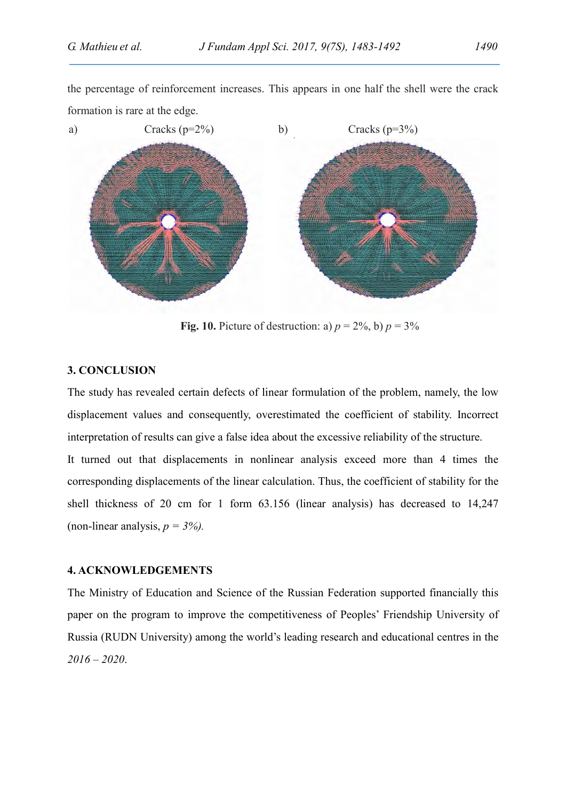the percentage of reinforcement increases. This appears in one half the shell were the crack formation is rare at the edge.



Fig. 10. Picture of destruction: a)  $p = 2\%$ , b)  $p = 3\%$ 

# 3. CONCLUSION

The study has revealed certain defects of linear formulation of the problem, namely, the low displacement values and consequently, overestimated the coefficient of stability. Incorrect interpretation of results can give a false idea about the excessive reliability of the structure.

It turned out that displacements in nonlinear analysis exceed more than 4 times the corresponding displacements of the linear calculation. Thus, the coefficient of stability for the shell thickness of 20 cm for 1 form 63.156 (linear analysis) has decreased to 14,247 (non-linear analysis,  $p = 3\%$ ).

# 4. ACKNOWLEDGEMENTS

The Ministry of Education and Science of the Russian Federation supported financially this paper on the program to improve the competitiveness of Peoples' Friendship University of Russia (RUDN University) among the world's leading research and educational centres in the  $2016 - 2020.$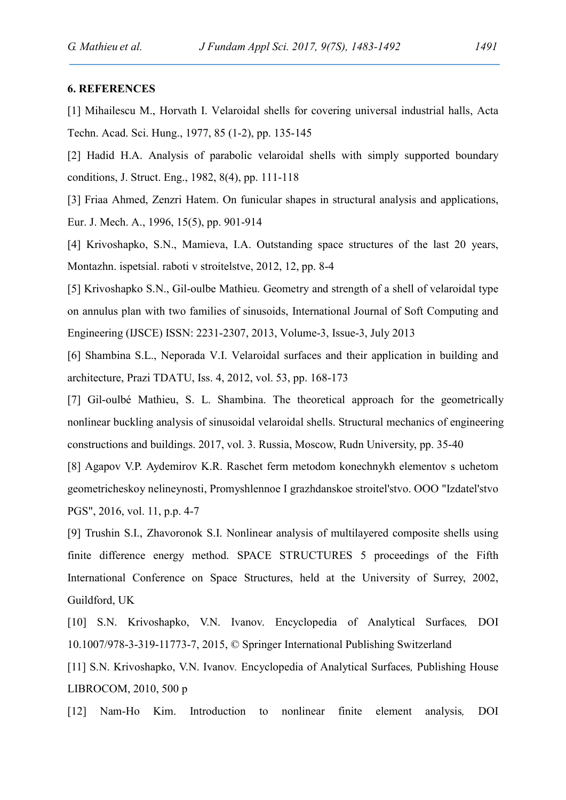#### 6. REFERENCES

[1] Mihailescu M., Horvath I. Velaroidal shells for covering universal industrial halls, Acta Techn. Acad. Sci. Hung., 1977, 85 (1-2), pp. 135-145

[2] Hadid H.A. Analysis of parabolic velaroidal shells with simply supported boundary conditions, J. Struct. Eng., 1982, 8(4), pp. 111-118

[3] Friaa Ahmed, Zenzri Hatem. On funicular shapes in structural analysis and applications, Eur. J. Mech. A., 1996, 15(5), pp. 901-914

[4] Krivoshapko, S.N., Mamieva, I.A. Outstanding space structures of the last 20 years, Montazhn. ispetsial. raboti v stroitelstve, 2012, 12, pp. 8-4

[5] Krivoshapko S.N., Gil-oulbe Mathieu. Geometry and strength of a shell of velaroidal type on annulus plan with two families of sinusoids, International Journal of Soft Computing and Engineering (IJSCE) ISSN: 2231-2307, 2013, Volume-3, Issue-3, July 2013

[6] Shambina S.L., Neporada V.I. Velaroidal surfaces and their application in building and architecture, Prazi TDATU, Iss. 4, 2012, vol. 53, pp. 168-173

[7] Gil-oulbé Mathieu, S. L. Shambina. The theoretical approach for the geometrically nonlinear buckling analysis of sinusoidal velaroidal shells. Structural mechanics of engineering constructions and buildings. 2017, vol. 3. Russia, Moscow, Rudn University, pp. 35-40

[8] Agapov V.P. Aydemirov K.R. Raschet ferm metodom konechnykh elementov s uchetom geometricheskoy nelineynosti, Promyshlennoe I grazhdanskoe stroitel'stvo. OOO "Izdatel'stvo PGS", 2016, vol. 11, p.p. 4-7

[9] Trushin S.I., Zhavoronok S.I. Nonlinear analysis of multilayered composite shells using finite difference energy method. SPACE STRUCTURES 5 proceedings of the Fifth International Conference on Space Structures, held at the University of Surrey, 2002, Guildford, UK

[10] S.N. Krivoshapko, V.N. Ivanov. Encyclopedia of Analytical Surfaces, DOI 10.1007/978-3-319-11773-7, 2015, © Springer International Publishing Switzerland

[11] S.N. Krivoshapko, V.N. Ivanov. Encyclopedia of Analytical Surfaces, Publishing House LIBROCOM, 2010, 500 p

[12] Nam-Ho Kim. Introduction to nonlinear finite element analysis, DOI